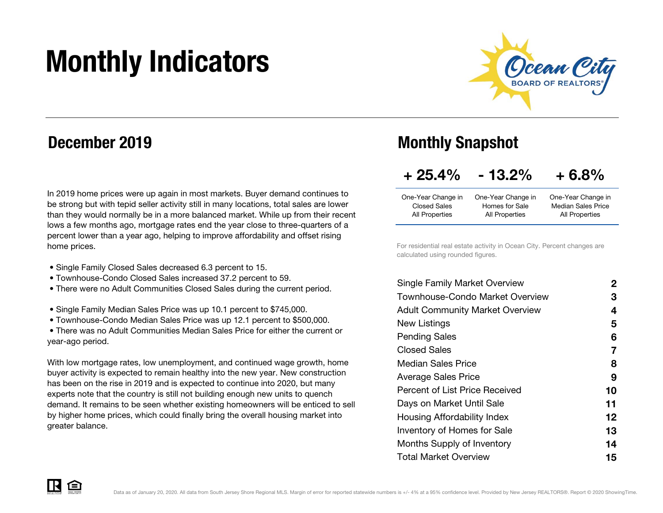# Monthly Indicators



### December 2019

In 2019 home prices were up again in most markets. Buyer demand continues to be strong but with tepid seller activity still in many locations, total sales are lower than they would normally be in a more balanced market. While up from their recent lows a few months ago, mortgage rates end the year close to three-quarters of a percent lower than a year ago, helping to improve affordability and offset rising home prices.

- Single Family Closed Sales decreased 6.3 percent to 15.
- Townhouse-Condo Closed Sales increased 37.2 percent to 59.
- There were no Adult Communities Closed Sales during the current period.
- Single Family Median Sales Price was up 10.1 percent to \$745,000.
- Townhouse-Condo Median Sales Price was up 12.1 percent to \$500,000.

 • There was no Adult Communities Median Sales Price for either the current or year-ago period.

With low mortgage rates, low unemployment, and continued wage growth, home buyer activity is expected to remain healthy into the new year. New construction has been on the rise in 2019 and is expected to continue into 2020, but many experts note that the country is still not building enough new units to quench demand. It remains to be seen whether existing homeowners will be enticed to sell by higher home prices, which could finally bring the overall housing market into greater balance.

### Monthly Snapshot

| $+25.4%$ | $-13.2%$ | $+6.8%$ |
|----------|----------|---------|
|----------|----------|---------|

|                | One-Year Change in        |
|----------------|---------------------------|
| Homes for Sale | <b>Median Sales Price</b> |
| All Properties | All Properties            |
|                | One-Year Change in        |

For residential real estate activity in Ocean City. Percent changes are calculated using rounded figures.

| 2  |
|----|
| 3  |
| 4  |
| 5  |
| 6  |
| 7  |
| 8  |
| 9  |
| 10 |
| 11 |
| 12 |
| 13 |
| 14 |
| 15 |
|    |

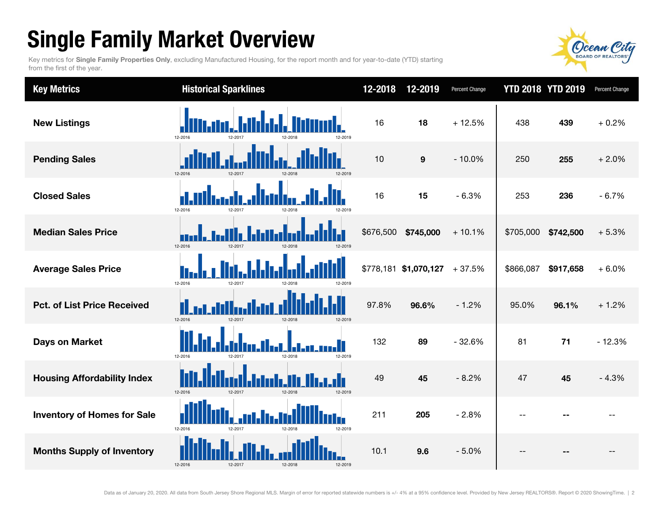## Single Family Market Overview

Key metrics for Single Family Properties Only, excluding Manufactured Housing, for the report month and for year-to-date (YTD) starting from the first of the year.



| <b>Key Metrics</b>                 | <b>Historical Sparklines</b>                  | 12-2018   | 12-2019               | Percent Change |                | <b>YTD 2018 YTD 2019</b> | Percent Change |
|------------------------------------|-----------------------------------------------|-----------|-----------------------|----------------|----------------|--------------------------|----------------|
| <b>New Listings</b>                | 12-2016<br>12-2019                            | 16        | 18                    | $+12.5%$       | 438            | 439                      | $+0.2%$        |
| <b>Pending Sales</b>               | 12-2016<br>12-2017<br>12-2018<br>12-2019      | 10        | $\boldsymbol{9}$      | $-10.0%$       | 250            | 255                      | $+2.0%$        |
| <b>Closed Sales</b>                | 12-2016<br>12-2017<br>12-2018<br>2-2019       | 16        | 15                    | $-6.3%$        | 253            | 236                      | $-6.7%$        |
| <b>Median Sales Price</b>          | 12-2016<br>12-2017<br>12-2018<br>12-2019      | \$676,500 | \$745,000             | $+10.1%$       | \$705,000      | \$742,500                | $+5.3%$        |
| <b>Average Sales Price</b>         | 12-2016<br>12-2011<br>12-2018<br>2-2019       |           | \$778,181 \$1,070,127 | $+37.5%$       | \$866,087      | \$917,658                | $+6.0%$        |
| <b>Pct. of List Price Received</b> | 12-2016<br>12-2017<br>12-2018<br>12-2019      | 97.8%     | 96.6%                 | $-1.2%$        | 95.0%          | 96.1%                    | $+1.2%$        |
| <b>Days on Market</b>              | 12-2016<br>12-2018<br>12-2019<br>12-2017      | 132       | 89                    | $-32.6%$       | 81             | 71                       | $-12.3%$       |
| <b>Housing Affordability Index</b> | 12-2016<br>12-2017<br>12-2018<br>12-2019      | 49        | 45                    | $-8.2%$        | 47             | 45                       | $-4.3%$        |
| <b>Inventory of Homes for Sale</b> | П<br>12-2016<br>12-2019<br>12-2017<br>12-2018 | 211       | 205                   | $-2.8%$        | $\overline{a}$ |                          |                |
| <b>Months Supply of Inventory</b>  | 12-2016<br>12-2017<br>12-2018<br>12-2019      | 10.1      | 9.6                   | $-5.0%$        | $-$            |                          | --             |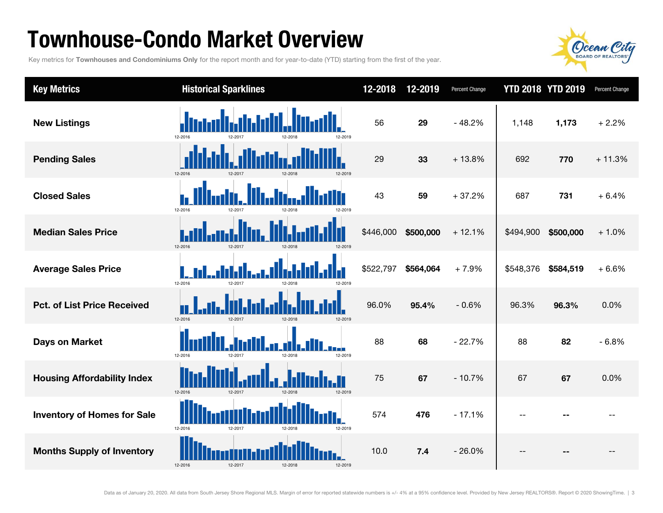### Townhouse-Condo Market Overview

Key metrics for Townhouses and Condominiums Only for the report month and for year-to-date (YTD) starting from the first of the year.



| <b>Key Metrics</b>                 | <b>Historical Sparklines</b>             | 12-2018   | 12-2019   | Percent Change |           | <b>YTD 2018 YTD 2019</b> | Percent Change |
|------------------------------------|------------------------------------------|-----------|-----------|----------------|-----------|--------------------------|----------------|
| <b>New Listings</b>                | 12-2016                                  | 56        | 29        | $-48.2%$       | 1,148     | 1,173                    | $+2.2%$        |
| <b>Pending Sales</b>               | 12-2016<br>12-2019<br>12-2017<br>12-2018 | 29        | 33        | $+13.8%$       | 692       | 770                      | $+11.3%$       |
| <b>Closed Sales</b>                | 12-2016                                  | 43        | 59        | $+37.2%$       | 687       | 731                      | $+6.4%$        |
| <b>Median Sales Price</b>          | 12-2016<br>12-2017<br>12-2018<br>12-2019 | \$446,000 | \$500,000 | $+12.1%$       | \$494,900 | \$500,000                | $+1.0%$        |
| <b>Average Sales Price</b>         | 12-2016<br>12-2017<br>12-2018            | \$522,797 | \$564,064 | $+7.9%$        | \$548,376 | \$584,519                | $+6.6%$        |
| <b>Pct. of List Price Received</b> | 12-2016<br>12-2017<br>12-2018<br>12-2019 | 96.0%     | 95.4%     | $-0.6%$        | 96.3%     | 96.3%                    | 0.0%           |
| <b>Days on Market</b>              | 12-2016<br>12-2019<br>12-2017<br>12-2018 | 88        | 68        | $-22.7%$       | 88        | 82                       | $-6.8%$        |
| <b>Housing Affordability Index</b> | 12-2016<br>12-2017<br>12-2018<br>12-2019 | 75        | 67        | $-10.7%$       | 67        | 67                       | 0.0%           |
| <b>Inventory of Homes for Sale</b> | 12-2016<br>12-2017<br>12-2019<br>12-2018 | 574       | 476       | $-17.1%$       | $-$       |                          |                |
| <b>Months Supply of Inventory</b>  | 12-2016<br>12-2017<br>12-2018<br>12-2019 | 10.0      | 7.4       | $-26.0%$       |           | $ -$                     | --             |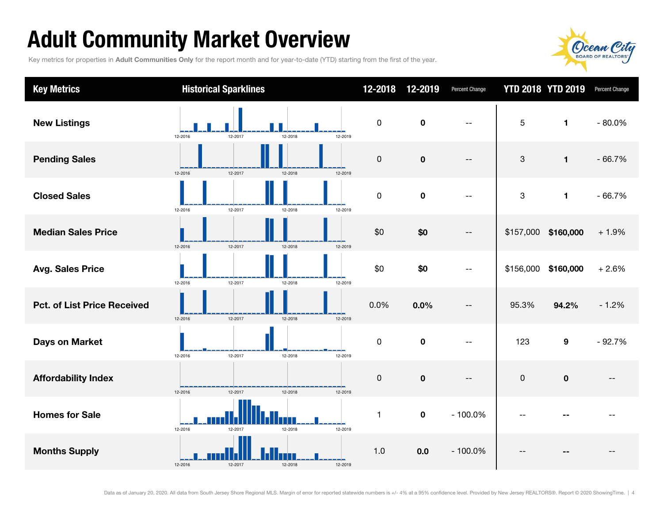## Adult Community Market Overview

Key metrics for properties in Adult Communities Only for the report month and for year-to-date (YTD) starting from the first of the year.



| <b>Key Metrics</b>                 | <b>Historical Sparklines</b>             | 12-2018     | 12-2019     | Percent Change           |                           | <b>YTD 2018 YTD 2019</b> | Percent Change |
|------------------------------------|------------------------------------------|-------------|-------------|--------------------------|---------------------------|--------------------------|----------------|
| <b>New Listings</b>                | 12-2017<br>12-2018<br>12-2019<br>12-2016 | $\pmb{0}$   | $\mathbf 0$ | $\overline{\phantom{m}}$ | 5                         | $\blacksquare$           | $-80.0%$       |
| <b>Pending Sales</b>               | 12-2016<br>12-2017<br>12-2018<br>12-2019 | 0           | $\pmb{0}$   | $\overline{\phantom{m}}$ | 3                         | $\mathbf{1}$             | $-66.7%$       |
| <b>Closed Sales</b>                | 12-2016<br>12-2017<br>12-2018<br>12-2019 | $\mathsf 0$ | $\pmb{0}$   | $-$                      | $\ensuremath{\mathsf{3}}$ | 1                        | $-66.7%$       |
| <b>Median Sales Price</b>          | 12-2017<br>12-2016<br>12-2018<br>12-2019 | \$0         | \$0         | $-\,-$                   |                           | \$157,000 \$160,000      | $+1.9%$        |
| <b>Avg. Sales Price</b>            | 12-2016<br>12-2018<br>12-2017<br>12-2019 | \$0         | \$0         | $\overline{\phantom{m}}$ | \$156,000                 | \$160,000                | $+2.6%$        |
| <b>Pct. of List Price Received</b> | 12-2018<br>12-2016<br>12-2017<br>12-2019 | 0.0%        | 0.0%        | $\overline{\phantom{a}}$ | 95.3%                     | 94.2%                    | $-1.2%$        |
| <b>Days on Market</b>              | 12-2017<br>12-2018<br>12-2019<br>12-2016 | $\mathsf 0$ | $\mathbf 0$ | $\overline{\phantom{m}}$ | 123                       | 9                        | $-92.7%$       |
| <b>Affordability Index</b>         | 12-2016<br>12-2017<br>12-2018<br>12-2019 | 0           | $\pmb{0}$   | $\overline{\phantom{a}}$ | $\pmb{0}$                 | $\mathbf 0$              |                |
| <b>Homes for Sale</b>              | 12-2019<br>12-2016<br>12-2017<br>12-2018 | 1           | $\pmb{0}$   | $-100.0%$                |                           |                          |                |
| <b>Months Supply</b>               | 12-2016<br>12-2017<br>12-2018<br>12-2019 | 1.0         | 0.0         | $-100.0%$                |                           |                          |                |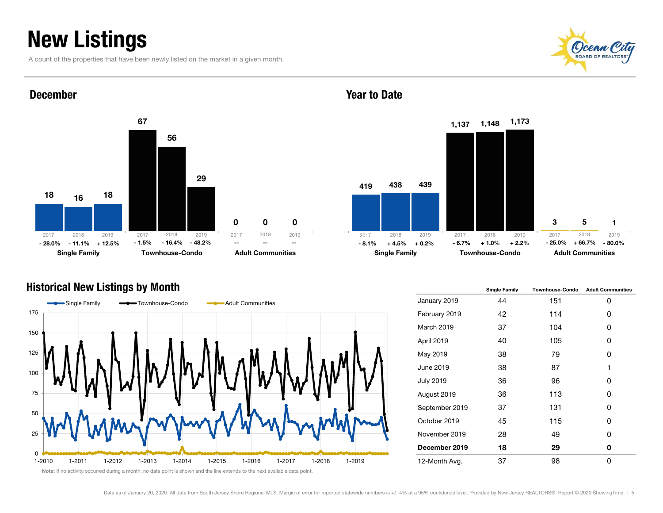### New Listings

December

A count of the properties that have been newly listed on the market in a given month.





#### Year to Date



#### Historical New Listings by Month



|                  | <b>Single Family</b> | <b>Townhouse-Condo</b> | <b>Adult Communities</b> |
|------------------|----------------------|------------------------|--------------------------|
| January 2019     | 44                   | 151                    | 0                        |
| February 2019    | 42                   | 114                    | 0                        |
| March 2019       | 37                   | 104                    | 0                        |
| April 2019       | 40                   | 105                    | 0                        |
| May 2019         | 38                   | 79                     | 0                        |
| June 2019        | 38                   | 87                     | 1                        |
| <b>July 2019</b> | 36                   | 96                     | 0                        |
| August 2019      | 36                   | 113                    | 0                        |
| September 2019   | 37                   | 131                    | 0                        |
| October 2019     | 45                   | 115                    | 0                        |
| November 2019    | 28                   | 49                     | 0                        |
| December 2019    | 18                   | 29                     | 0                        |
| 12-Month Avg.    | 37                   | 98                     | 0                        |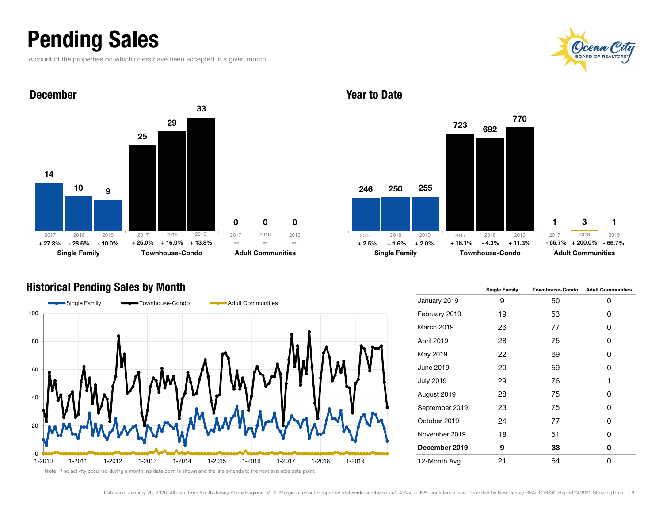### Pending Sales

A count of the properties on which offers have been accepted in a given month.





#### December





2467231250 6923255770 1Single Family **Townhouse-Condo** Adult Communities 2018 2019 2017 2018 2019  $+ 2.5\% + 1.6\% + 2.0\% + 16.1\% - 4.3\% + 11.3\%$  - 66.7%2017 2018 2019 - 66.7%

#### Year to Date

 $\Omega$ 

|                   | <b>Single Family</b> | <b>Townhouse-Condo</b> | <b>Adult Communities</b> |
|-------------------|----------------------|------------------------|--------------------------|
| January 2019      | 9                    | 50                     | 0                        |
| February 2019     | 19                   | 53                     | 0                        |
| <b>March 2019</b> | 26                   | 77                     | 0                        |
| April 2019        | 28                   | 75                     | 0                        |
| May 2019          | 22                   | 69                     | 0                        |
| June 2019         | 20                   | 59                     | 0                        |
| <b>July 2019</b>  | 29                   | 76                     | 1                        |
| August 2019       | 28                   | 75                     | 0                        |
| September 2019    | 23                   | 75                     | 0                        |
| October 2019      | 24                   | 77                     | 0                        |
| November 2019     | 18                   | 51                     | 0                        |
| December 2019     | 9                    | 33                     | 0                        |
| 12-Month Avg.     | 21                   | 64                     | 0                        |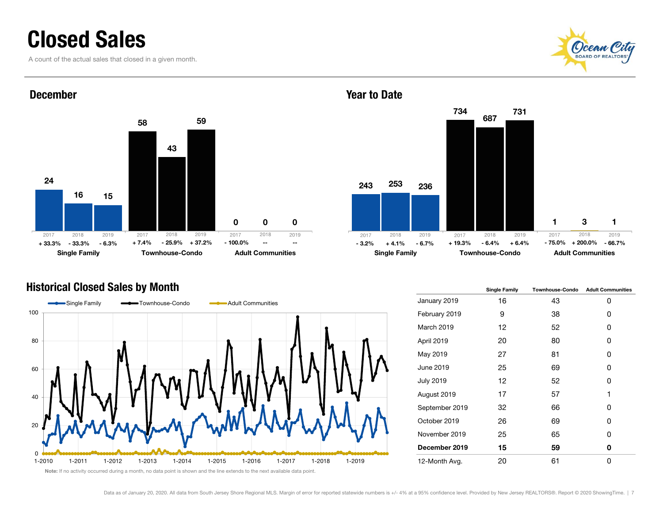### Closed Sales

A count of the actual sales that closed in a given month.





#### December





2437341253 6873236731 1Single Family **Townhouse-Condo** Adult Communities 2018 2019 2017 2018 2019  $\%$  -- - - - - - - - -3.2% +4.1% -6.7% +19.3% -6.4% +6.4% -75.0% +200.0% -66.7% 20172018 2019

|                   | <b>Single Family</b> | <b>Townhouse-Condo</b> | <b>Adult Communities</b> |
|-------------------|----------------------|------------------------|--------------------------|
| January 2019      | 16                   | 43                     | 0                        |
| February 2019     | 9                    | 38                     | 0                        |
| <b>March 2019</b> | 12                   | 52                     | 0                        |
| April 2019        | 20                   | 80                     | 0                        |
| May 2019          | 27                   | 81                     | 0                        |
| June 2019         | 25                   | 69                     | 0                        |
| <b>July 2019</b>  | 12                   | 52                     | 0                        |
| August 2019       | 17                   | 57                     | 1                        |
| September 2019    | 32                   | 66                     | 0                        |
| October 2019      | 26                   | 69                     | 0                        |
| November 2019     | 25                   | 65                     | 0                        |
| December 2019     | 15                   | 59                     | 0                        |
| 12-Month Avg.     | 20                   | 61                     | 0                        |

#### Year to Date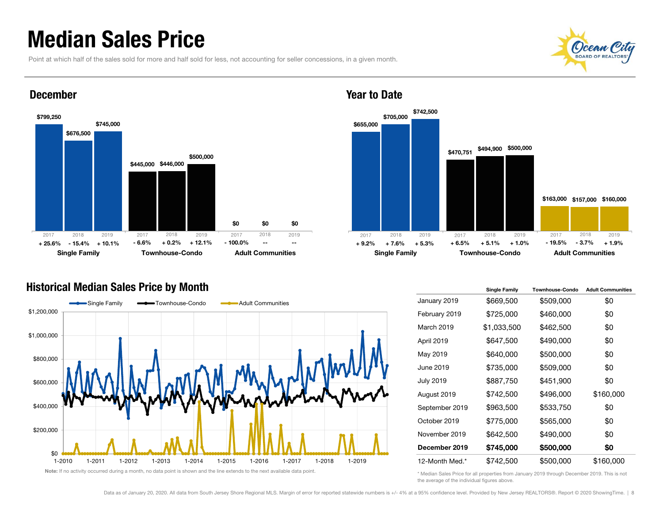### Median Sales Price

Point at which half of the sales sold for more and half sold for less, not accounting for seller concessions, in a given month.





#### December



#### Historical Median Sales Price by Month



|                   | <b>Single Family</b> | <b>Townhouse-Condo</b> | <b>Adult Communities</b> |
|-------------------|----------------------|------------------------|--------------------------|
| January 2019      | \$669,500            | \$509,000              | \$0                      |
| February 2019     | \$725,000            | \$460,000              | \$0                      |
| <b>March 2019</b> | \$1,033,500          | \$462,500              | \$0                      |
| April 2019        | \$647,500            | \$490,000              | \$0                      |
| May 2019          | \$640,000            | \$500,000              | \$0                      |
| June 2019         | \$735,000            | \$509,000              | \$0                      |
| <b>July 2019</b>  | \$887,750            | \$451,900              | \$0                      |
| August 2019       | \$742,500            | \$496,000              | \$160,000                |
| September 2019    | \$963,500            | \$533,750              | \$0                      |
| October 2019      | \$775,000            | \$565,000              | \$0                      |
| November 2019     | \$642,500            | \$490,000              | \$0                      |
| December 2019     | \$745,000            | \$500,000              | \$0                      |
| 12-Month Med.*    | \$742,500            | \$500,000              | \$160,000                |

\* Median Sales Price for all properties from January 2019 through December 2019. This is not the average of the individual figures above.

#### Year to Date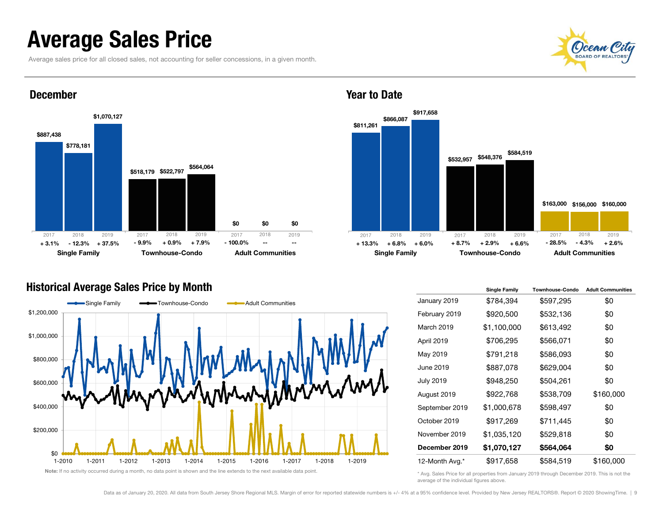### Average Sales Price

Average sales price for all closed sales, not accounting for seller concessions, in a given month.





#### December



#### Year to Date

#### Historical Average Sales Price by Month



|                   | <b>Single Family</b> | <b>Townhouse-Condo</b> | <b>Adult Communities</b> |
|-------------------|----------------------|------------------------|--------------------------|
| January 2019      | \$784,394            | \$597,295              | \$0                      |
| February 2019     | \$920,500            | \$532,136              | \$0                      |
| <b>March 2019</b> | \$1,100,000          | \$613,492              | \$0                      |
| April 2019        | \$706,295            | \$566,071              | \$0                      |
| May 2019          | \$791,218            | \$586,093              | \$0                      |
| June 2019         | \$887,078            | \$629,004              | \$0                      |
| <b>July 2019</b>  | \$948,250            | \$504,261              | \$0                      |
| August 2019       | \$922,768            | \$538,709              | \$160,000                |
| September 2019    | \$1,000,678          | \$598,497              | \$0                      |
| October 2019      | \$917,269            | \$711,445              | \$0                      |
| November 2019     | \$1,035,120          | \$529,818              | \$0                      |
| December 2019     | \$1,070,127          | \$564,064              | \$0                      |
| 12-Month Avg.*    | \$917,658            | \$584,519              | \$160,000                |

\* Avg. Sales Price for all properties from January 2019 through December 2019. This is not the average of the individual figures above.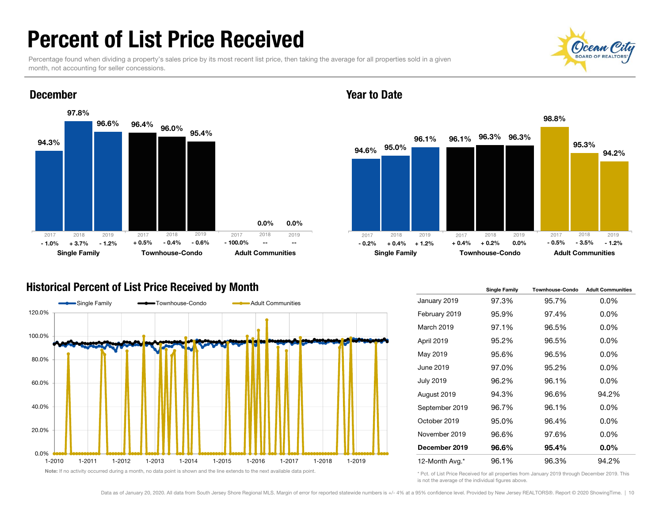### Percent of List Price Received

Percentage found when dividing a property's sales price by its most recent list price, then taking the average for all properties sold in a given month, not accounting for seller concessions.





#### December





#### Historical Percent of List Price Received by Month



|                  | <b>Single Family</b> | <b>Townhouse-Condo</b> | <b>Adult Communities</b> |
|------------------|----------------------|------------------------|--------------------------|
| January 2019     | 97.3%                | 95.7%                  | $0.0\%$                  |
| February 2019    | 95.9%                | 97.4%                  | $0.0\%$                  |
| March 2019       | 97.1%                | 96.5%                  | $0.0\%$                  |
| April 2019       | 95.2%                | 96.5%                  | $0.0\%$                  |
| May 2019         | 95.6%                | 96.5%                  | $0.0\%$                  |
| June 2019        | 97.0%                | 95.2%                  | $0.0\%$                  |
| <b>July 2019</b> | 96.2%                | 96.1%                  | $0.0\%$                  |
| August 2019      | 94.3%                | 96.6%                  | 94.2%                    |
| September 2019   | 96.7%                | 96.1%                  | $0.0\%$                  |
| October 2019     | 95.0%                | 96.4%                  | $0.0\%$                  |
| November 2019    | 96.6%                | 97.6%                  | $0.0\%$                  |
| December 2019    | 96.6%                | 95.4%                  | 0.0%                     |
| 12-Month Avg.*   | 96.1%                | 96.3%                  | 94.2%                    |

\* Pct. of List Price Received for all properties from January 2019 through December 2019. This is not the average of the individual figures above.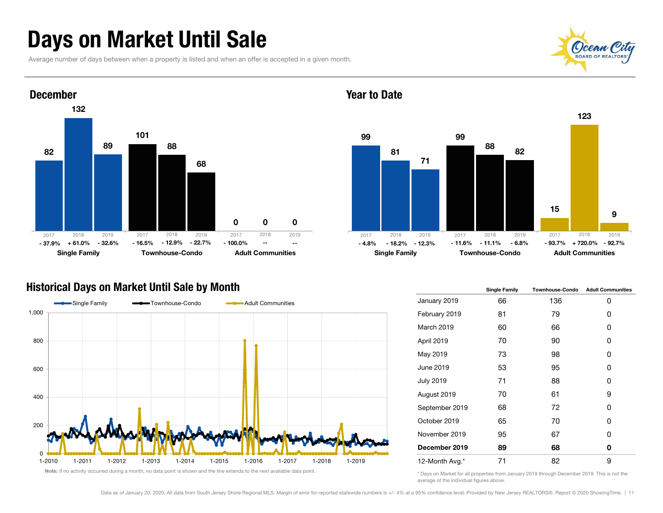### Days on Market Until Sale

Average number of days between when a property is listed and when an offer is accepted in a given month.





#### Year to Date



#### Historical Days on Market Until Sale by Month



|                   | <b>Single Family</b> | <b>Townhouse-Condo</b> | <b>Adult Communities</b> |  |  |
|-------------------|----------------------|------------------------|--------------------------|--|--|
| January 2019      | 66                   | 136                    | 0                        |  |  |
| February 2019     | 81                   | 79                     | 0                        |  |  |
| <b>March 2019</b> | 60                   | 66                     | 0                        |  |  |
| April 2019        | 70                   | 90                     | 0                        |  |  |
| May 2019          | 73                   | 98                     | 0                        |  |  |
| June 2019         | 53                   | 95                     | 0                        |  |  |
| <b>July 2019</b>  | 71                   | 88                     | 0                        |  |  |
| August 2019       | 70                   | 61                     | 9                        |  |  |
| September 2019    | 68                   | 72                     | 0                        |  |  |
| October 2019      | 65                   | 70                     | 0                        |  |  |
| November 2019     | 95                   | 67                     | 0                        |  |  |
| December 2019     | 89                   | 68                     | 0                        |  |  |
| 12-Month Avg.*    | 71                   | 82                     | 9                        |  |  |

\* Days on Market for all properties from January 2019 through December 2019. This is not the average of the individual figures above.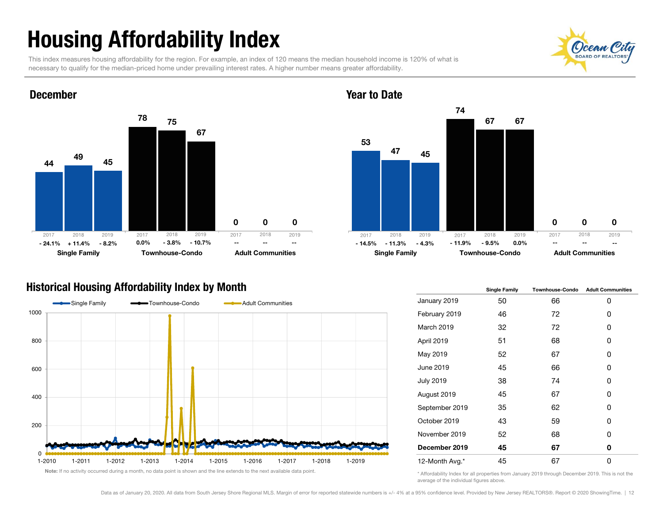# Housing Affordability Index

This index measures housing affordability for the region. For example, an index of 120 means the median household income is 120% of what is necessary to qualify for the median-priced home under prevailing interest rates. A higher number means greater affordability.





#### Year to Date



#### Historical Housing Affordability Index by Month



|                   | <b>Single Family</b> | <b>Townhouse-Condo</b> | <b>Adult Communities</b> |  |  |
|-------------------|----------------------|------------------------|--------------------------|--|--|
| January 2019      | 50                   | 66                     | 0                        |  |  |
| February 2019     | 46                   | 72                     | 0                        |  |  |
| <b>March 2019</b> | 32                   | 72                     | 0                        |  |  |
| April 2019        | 51                   | 68                     | 0                        |  |  |
| May 2019          | 52                   | 67                     | 0                        |  |  |
| June 2019         | 45                   | 66                     | 0                        |  |  |
| <b>July 2019</b>  | 38                   | 74                     | 0                        |  |  |
| August 2019       | 45                   | 67                     | 0                        |  |  |
| September 2019    | 35                   | 62                     | 0                        |  |  |
| October 2019      | 43                   | 59                     | 0                        |  |  |
| November 2019     | 52                   | 68                     | 0                        |  |  |
| December 2019     | 45                   | 67                     | 0                        |  |  |
| 12-Month Avg.*    | 45                   | 67                     | 0                        |  |  |

\* Affordability Index for all properties from January 2019 through December 2019. This is not the average of the individual figures above.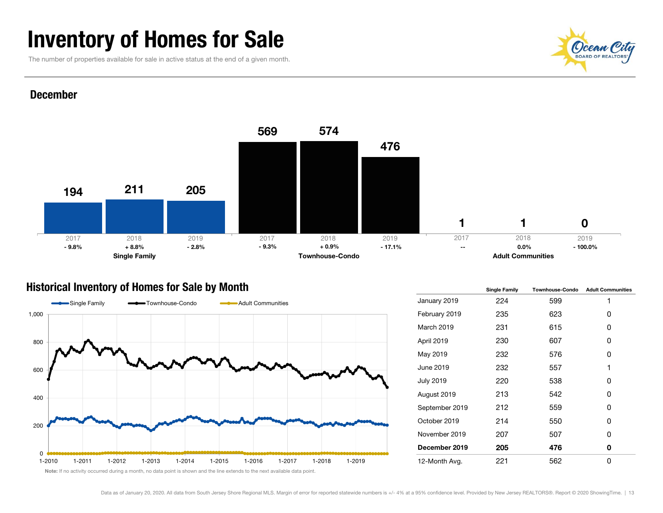### Inventory of Homes for Sale

The number of properties available for sale in active status at the end of a given month.

# **OCEAN Ci**

#### December



#### Historical Inventory of Homes for Sale by Month



|                  | <b>Single Family</b> | <b>Townhouse-Condo</b> | <b>Adult Communities</b> |  |  |
|------------------|----------------------|------------------------|--------------------------|--|--|
| January 2019     | 224                  | 599                    | 1                        |  |  |
| February 2019    | 235                  | 623                    | 0                        |  |  |
| March 2019       | 231                  | 615                    | 0                        |  |  |
| April 2019       | 230                  | 607                    | 0                        |  |  |
| May 2019         | 232                  | 576                    | 0                        |  |  |
| June 2019        | 232                  | 557                    | 1                        |  |  |
| <b>July 2019</b> | 220                  | 538                    | 0                        |  |  |
| August 2019      | 213                  | 542                    | 0                        |  |  |
| September 2019   | 212                  | 559                    | 0                        |  |  |
| October 2019     | 214                  | 550                    | 0                        |  |  |
| November 2019    | 207                  | 507                    | 0                        |  |  |
| December 2019    | 205                  | 476                    | 0                        |  |  |
| 12-Month Avg.    | 221                  | 562                    | 0                        |  |  |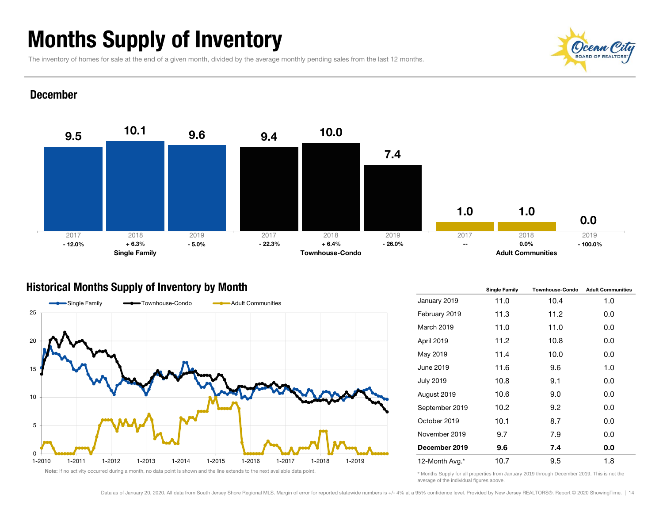### Months Supply of Inventory

The inventory of homes for sale at the end of a given month, divided by the average monthly pending sales from the last 12 months.

### (C)cean BOARD OF REALT

#### December



#### Historical Months Supply of Inventory by Month



|                  | <b>Single Family</b> | <b>Townhouse-Condo</b> | <b>Adult Communities</b> |  |  |
|------------------|----------------------|------------------------|--------------------------|--|--|
| January 2019     | 11.0                 | 10.4                   | 1.0                      |  |  |
| February 2019    | 11.3                 | 11.2                   | 0.0                      |  |  |
| March 2019       | 11.0                 | 11.0                   | 0.0                      |  |  |
| April 2019       | 11.2                 | 10.8                   | 0.0                      |  |  |
| May 2019         | 11.4                 | 10.0                   | 0.0                      |  |  |
| June 2019        | 11.6                 | 9.6                    | 1.0                      |  |  |
| <b>July 2019</b> | 10.8                 | 9.1                    | 0.0                      |  |  |
| August 2019      | 10.6                 | 9.0                    | 0.0                      |  |  |
| September 2019   | 10.2                 | 9.2                    | 0.0                      |  |  |
| October 2019     | 10.1                 | 8.7                    | 0.0                      |  |  |
| November 2019    | 9.7                  | 7.9                    | 0.0                      |  |  |
| December 2019    | 9.6                  | 7.4                    | 0.0                      |  |  |
| 12-Month Avg.*   | 10.7                 | 9.5                    | 1.8                      |  |  |

\* Months Supply for all properties from January 2019 through December 2019. This is not the average of the individual figures above.